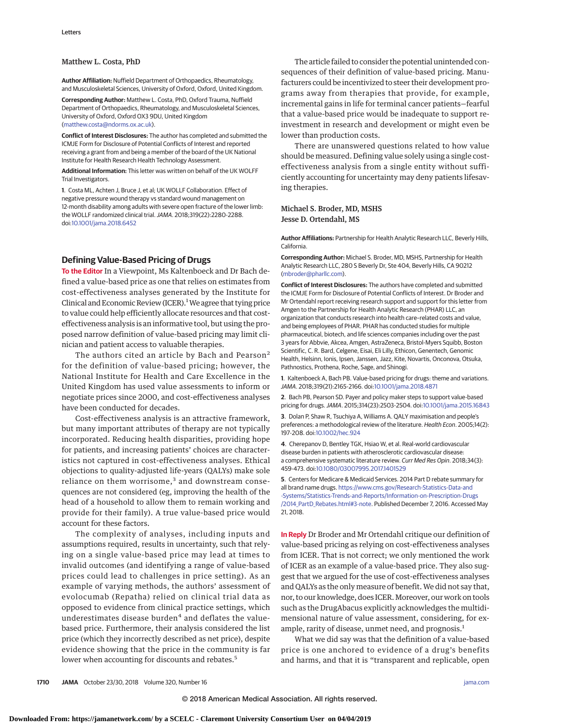#### Matthew L. Costa, PhD

**Author Affiliation:** Nuffield Department of Orthopaedics, Rheumatology, and Musculoskeletal Sciences, University of Oxford, Oxford, United Kingdom.

**Corresponding Author:** Matthew L. Costa, PhD, Oxford Trauma, Nuffield Department of Orthopaedics, Rheumatology, and Musculoskeletal Sciences, University of Oxford, Oxford OX3 9DU, United Kingdom [\(matthew.costa@ndorms.ox.ac.uk\)](mailto:matthew.costa@ndorms.ox.ac.uk).

**Conflict of Interest Disclosures:** The author has completed and submitted the ICMJE Form for Disclosure of Potential Conflicts of Interest and reported receiving a grant from and being a member of the board of the UK National Institute for Health Research Health Technology Assessment.

**Additional Information:** This letter was written on behalf of the UK WOLFF Trial Investigators.

**1**. Costa ML, Achten J, Bruce J, et al; UK WOLLF Collaboration. Effect of negative pressure wound therapy vs standard wound management on 12-month disability among adults with severe open fracture of the lower limb: the WOLLF randomized clinical trial.JAMA. 2018;319(22):2280-2288. doi[:10.1001/jama.2018.6452](https://jama.jamanetwork.com/article.aspx?doi=10.1001/jama.2018.6452&utm_campaign=articlePDF%26utm_medium=articlePDFlink%26utm_source=articlePDF%26utm_content=jama.2018.11751)

# **Defining Value-Based Pricing of Drugs**

**To the Editor** In a Viewpoint, Ms Kaltenboeck and Dr Bach defined a value-based price as one that relies on estimates from cost-effectiveness analyses generated by the Institute for Clinical and Economic Review (ICER).<sup>1</sup> We agree that tying price to value could help efficiently allocate resources and that costeffectiveness analysis is an informative tool, but using the proposed narrow definition of value-based pricing may limit clinician and patient access to valuable therapies.

The authors cited an article by Bach and Pearson<sup>2</sup> for the definition of value-based pricing; however, the National Institute for Health and Care Excellence in the United Kingdom has used value assessments to inform or negotiate prices since 2000, and cost-effectiveness analyses have been conducted for decades.

Cost-effectiveness analysis is an attractive framework, but many important attributes of therapy are not typically incorporated. Reducing health disparities, providing hope for patients, and increasing patients' choices are characteristics not captured in cost-effectiveness analyses. Ethical objections to quality-adjusted life-years (QALYs) make sole reliance on them worrisome,<sup>3</sup> and downstream consequences are not considered (eg, improving the health of the head of a household to allow them to remain working and provide for their family). A true value-based price would account for these factors.

The complexity of analyses, including inputs and assumptions required, results in uncertainty, such that relying on a single value-based price may lead at times to invalid outcomes (and identifying a range of value-based prices could lead to challenges in price setting). As an example of varying methods, the authors' assessment of evolocumab (Repatha) relied on clinical trial data as opposed to evidence from clinical practice settings, which underestimates disease burden $4$  and deflates the valuebased price. Furthermore, their analysis considered the list price (which they incorrectly described as net price), despite evidence showing that the price in the community is far lower when accounting for discounts and rebates.<sup>5</sup>

The article failed to consider the potential unintended consequences of their definition of value-based pricing. Manufacturers could be incentivized to steer their development programs away from therapies that provide, for example, incremental gains in life for terminal cancer patients—fearful that a value-based price would be inadequate to support reinvestment in research and development or might even be lower than production costs.

There are unanswered questions related to how value should be measured. Defining value solely using a single costeffectiveness analysis from a single entity without sufficiently accounting for uncertainty may deny patients lifesaving therapies.

### Michael S. Broder, MD, MSHS Jesse D. Ortendahl, MS

**Author Affiliations:** Partnership for Health Analytic Research LLC, Beverly Hills, California.

**Corresponding Author:** Michael S. Broder, MD, MSHS, Partnership for Health Analytic Research LLC, 280 S Beverly Dr, Ste 404, Beverly Hills, CA 90212 [\(mbroder@pharllc.com\)](mailto:mbroder@pharllc.com).

**Conflict of Interest Disclosures:** The authors have completed and submitted the ICMJE Form for Disclosure of Potential Conflicts of Interest. Dr Broder and Mr Ortendahl report receiving research support and support for this letter from Amgen to the Partnership for Health Analytic Research (PHAR) LLC, an organization that conducts research into health care–related costs and value, and being employees of PHAR. PHAR has conducted studies for multiple pharmaceutical, biotech, and life sciences companies including over the past 3 years for Abbvie, Akcea, Amgen, AstraZeneca, Bristol-Myers Squibb, Boston Scientific, C. R. Bard, Celgene, Eisai, Eli Lilly, Ethicon, Genentech, Genomic Health, Helsinn, Ionis, Ipsen, Janssen, Jazz, Kite, Novartis, Onconova, Otsuka, Pathnostics, Prothena, Roche, Sage, and Shinogi.

**1**. Kaltenboeck A, Bach PB. Value-based pricing for drugs: theme and variations. JAMA. 2018;319(21):2165-2166. doi[:10.1001/jama.2018.4871](https://jama.jamanetwork.com/article.aspx?doi=10.1001/jama.2018.4871&utm_campaign=articlePDF%26utm_medium=articlePDFlink%26utm_source=articlePDF%26utm_content=jama.2018.11808)

**2**. Bach PB, Pearson SD. Payer and policy maker steps to support value-based pricing for drugs.JAMA. 2015;314(23):2503-2504. doi[:10.1001/jama.2015.16843](https://jama.jamanetwork.com/article.aspx?doi=10.1001/jama.2015.16843&utm_campaign=articlePDF%26utm_medium=articlePDFlink%26utm_source=articlePDF%26utm_content=jama.2018.11808)

**3**. Dolan P, Shaw R, Tsuchiya A, Williams A. QALY maximisation and people's preferences: a methodological review of the literature. Health Econ. 2005;14(2): 197-208. doi[:10.1002/hec.924](https://dx.doi.org/10.1002/hec.924)

**4**. Cherepanov D, Bentley TGK, Hsiao W, et al. Real-world cardiovascular disease burden in patients with atherosclerotic cardiovascular disease: a comprehensive systematic literature review. Curr Med Res Opin. 2018;34(3): 459-473. doi[:10.1080/03007995.2017.1401529](https://dx.doi.org/10.1080/03007995.2017.1401529)

**5**. Centers for Medicare & Medicaid Services. 2014 Part D rebate summary for all brand name drugs. [https://www.cms.gov/Research-Statistics-Data-and](https://www.cms.gov/Research-Statistics-Data-and-Systems/Statistics-Trends-and-Reports/Information-on-Prescription-Drugs/2014_PartD_Rebates.html#3-note) [-Systems/Statistics-Trends-and-Reports/Information-on-Prescription-Drugs](https://www.cms.gov/Research-Statistics-Data-and-Systems/Statistics-Trends-and-Reports/Information-on-Prescription-Drugs/2014_PartD_Rebates.html#3-note) [/2014\\_PartD\\_Rebates.html#3-note.](https://www.cms.gov/Research-Statistics-Data-and-Systems/Statistics-Trends-and-Reports/Information-on-Prescription-Drugs/2014_PartD_Rebates.html#3-note) Published December 7, 2016. Accessed May 21, 2018.

**In Reply** Dr Broder and Mr Ortendahl critique our definition of value-based pricing as relying on cost-effectiveness analyses from ICER. That is not correct; we only mentioned the work of ICER as an example of a value-based price. They also suggest that we argued for the use of cost-effectiveness analyses and QALYs as the only measure of benefit.We did not say that, nor, to our knowledge, does ICER.Moreover, our work on tools such as the DrugAbacus explicitly acknowledges the multidimensional nature of value assessment, considering, for example, rarity of disease, unmet need, and prognosis.<sup>1</sup>

What we did say was that the definition of a value-based price is one anchored to evidence of a drug's benefits and harms, and that it is "transparent and replicable, open